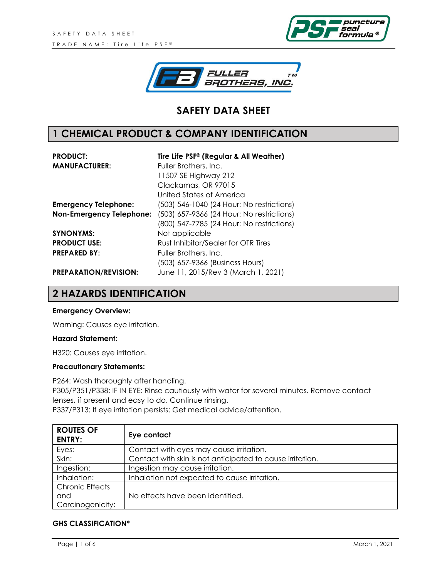



# **SAFETY DATA SHEET**

## **1 CHEMICAL PRODUCT & COMPANY IDENTIFICATION**

| <b>PRODUCT:</b>                 | Tire Life PSF® (Regular & All Weather)    |
|---------------------------------|-------------------------------------------|
| <b>MANUFACTURER:</b>            | Fuller Brothers, Inc.                     |
|                                 | 11507 SE Highway 212                      |
|                                 | Clackamas, OR 97015                       |
|                                 | United States of America                  |
| <b>Emergency Telephone:</b>     | (503) 546-1040 (24 Hour: No restrictions) |
| <b>Non-Emergency Telephone:</b> | (503) 657-9366 (24 Hour: No restrictions) |
|                                 | (800) 547-7785 (24 Hour: No restrictions) |
| <b>SYNONYMS:</b>                | Not applicable                            |
| <b>PRODUCT USE:</b>             | Rust Inhibitor/Sealer for OTR Tires       |
| <b>PREPARED BY:</b>             | Fuller Brothers, Inc.                     |
|                                 | (503) 657-9366 (Business Hours)           |
| <b>PREPARATION/REVISION:</b>    | June 11, 2015/Rev 3 (March 1, 2021)       |

#### **2 HAZARDS IDENTIFICATION**

#### **Emergency Overview:**

Warning: Causes eye irritation.

#### **Hazard Statement:**

H320: Causes eye irritation.

#### **Precautionary Statements:**

P264: Wash thoroughly after handling. P305/P351/P338: IF IN EYE: Rinse cautiously with water for several minutes. Remove contact lenses, if present and easy to do. Continue rinsing. P337/P313: If eye irritation persists: Get medical advice/attention.

| <b>ROUTES OF</b><br><b>ENTRY:</b> | Eye contact                                               |
|-----------------------------------|-----------------------------------------------------------|
| Eyes:                             | Contact with eyes may cause irritation.                   |
| Skin:                             | Contact with skin is not anticipated to cause irritation. |
| Ingestion:                        | Ingestion may cause irritation.                           |
| Inhalation:                       | Inhalation not expected to cause irritation.              |
| <b>Chronic Effects</b>            |                                                           |
| and                               | No effects have been identified.                          |
| Carcinogenicity:                  |                                                           |

#### **GHS CLASSIFICATION\***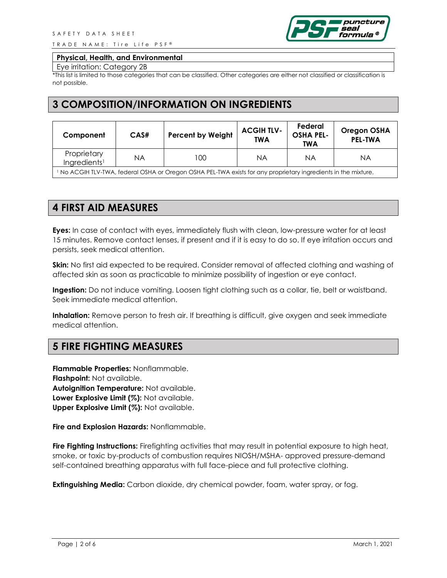TRADE NAME: Tire Life PSF®



#### **Physical, Health, and Environmental**

Eye irritation: Category 2B

\*This list is limited to those categories that can be classified. Other categories are either not classified or classification is not possible.

#### **3 COMPOSITION/INFORMATION ON INGREDIENTS**

| Component                               | CAS# | <b>Percent by Weight</b> | <b>ACGIH TLV-</b><br><b>TWA</b> | Federal<br><b>OSHA PEL-</b><br><b>TWA</b> | <b>Oregon OSHA</b><br><b>PEL-TWA</b> |
|-----------------------------------------|------|--------------------------|---------------------------------|-------------------------------------------|--------------------------------------|
| Proprietary<br>Ingredients <sup>1</sup> | ΝA   | 100                      | ΝA                              | ΝA                                        | ΝA                                   |

<sup>1</sup> No ACGIH TLV-TWA, federal OSHA or Oregon OSHA PEL-TWA exists for any proprietary ingredients in the mixture.

## **4 FIRST AID MEASURES**

**Eyes:** In case of contact with eyes, immediately flush with clean, low-pressure water for at least 15 minutes. Remove contact lenses, if present and if it is easy to do so. If eye irritation occurs and persists, seek medical attention.

**Skin:** No first aid expected to be required. Consider removal of affected clothing and washing of affected skin as soon as practicable to minimize possibility of ingestion or eye contact.

**Ingestion:** Do not induce vomiting. Loosen tight clothing such as a collar, tie, belt or waistband. Seek immediate medical attention.

**Inhalation:** Remove person to fresh air. If breathing is difficult, give oxygen and seek immediate medical attention.

### **5 FIRE FIGHTING MEASURES**

**Flammable Properties:** Nonflammable. **Flashpoint:** Not available. **Autoignition Temperature:** Not available. **Lower Explosive Limit (%):** Not available. **Upper Explosive Limit (%):** Not available.

**Fire and Explosion Hazards:** Nonflammable.

**Fire Fighting Instructions:** Firefighting activities that may result in potential exposure to high heat, smoke, or toxic by-products of combustion requires NIOSH/MSHA- approved pressure-demand self-contained breathing apparatus with full face-piece and full protective clothing.

**Extinguishing Media:** Carbon dioxide, dry chemical powder, foam, water spray, or fog.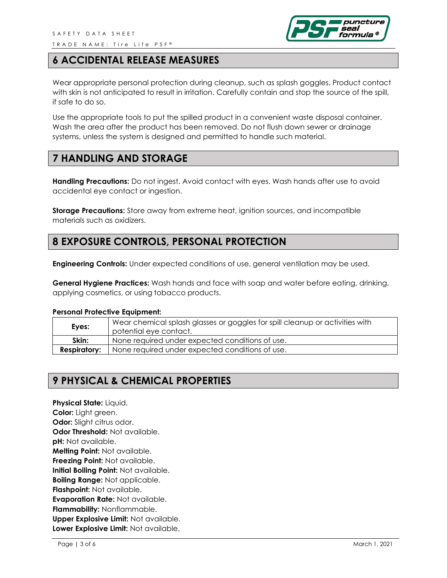

### **6 ACCIDENTAL RELEASE MEASURES**

Wear appropriate personal protection during cleanup, such as splash goggles. Product contact with skin is not anticipated to result in irritation. Carefully contain and stop the source of the spill, if safe to do so.

Use the appropriate tools to put the spilled product in a convenient waste disposal container. Wash the area after the product has been removed. Do not flush down sewer or drainage systems, unless the system is designed and permitted to handle such material.

#### **7 HANDLING AND STORAGE**

**Handling Precautions:** Do not ingest. Avoid contact with eyes. Wash hands after use to avoid accidental eye contact or ingestion.

**Storage Precautions:** Store away from extreme heat, ignition sources, and incompatible materials such as oxidizers.

### **8 EXPOSURE CONTROLS, PERSONAL PROTECTION**

**Engineering Controls:** Under expected conditions of use, general ventilation may be used.

**General Hygiene Practices:** Wash hands and face with soap and water before eating, drinking, applying cosmetics, or using tobacco products.

#### **Personal Protective Equipment:**

| Eyes:               | Wear chemical splash glasses or goggles for spill cleanup or activities with<br>potential eye contact. |
|---------------------|--------------------------------------------------------------------------------------------------------|
| Skin:               | None required under expected conditions of use.                                                        |
| <b>Respiratory:</b> | None required under expected conditions of use.                                                        |

### **9 PHYSICAL & CHEMICAL PROPERTIES**

**Physical State:** Liquid. **Color:** Light green. **Odor:** Slight citrus odor. **Odor Threshold:** Not available. **pH:** Not available. **Melting Point:** Not available. **Freezing Point:** Not available. **Initial Boiling Point:** Not available. **Boiling Range:** Not applicable. **Flashpoint:** Not available. **Evaporation Rate:** Not available. **Flammability:** Nonflammable. **Upper Explosive Limit:** Not available. **Lower Explosive Limit:** Not available.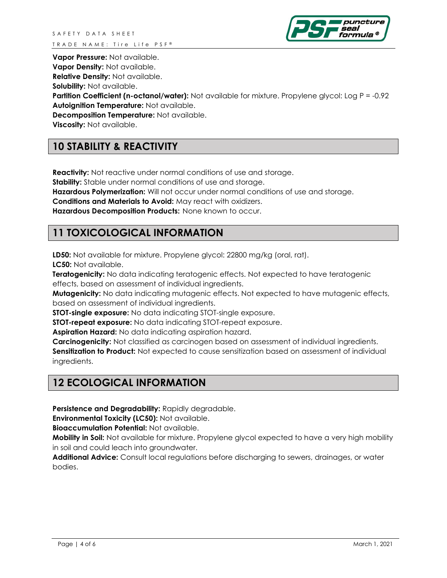

**Vapor Pressure:** Not available.

**Vapor Density:** Not available.

**Relative Density:** Not available.

**Solubility:** Not available.

**Partition Coefficient (n-octanol/water):** Not available for mixture. Propylene glycol: Log P = -0.92 **Autoignition Temperature:** Not available.

**Decomposition Temperature:** Not available.

**Viscosity:** Not available.

# **10 STABILITY & REACTIVITY**

**Reactivity:** Not reactive under normal conditions of use and storage.

**Stability:** Stable under normal conditions of use and storage.

**Hazardous Polymerization:** Will not occur under normal conditions of use and storage.

**Conditions and Materials to Avoid:** May react with oxidizers.

**Hazardous Decomposition Products:** None known to occur.

### **11 TOXICOLOGICAL INFORMATION**

**LD50:** Not available for mixture. Propylene glycol: 22800 mg/kg (oral, rat). **LC50:** Not available.

**Teratogenicity:** No data indicating teratogenic effects. Not expected to have teratogenic effects, based on assessment of individual ingredients.

**Mutagenicity:** No data indicating mutagenic effects. Not expected to have mutagenic effects, based on assessment of individual ingredients.

**STOT-single exposure:** No data indicating STOT-single exposure.

**STOT-repeat exposure:** No data indicating STOT-repeat exposure.

**Aspiration Hazard:** No data indicating aspiration hazard.

**Carcinogenicity:** Not classified as carcinogen based on assessment of individual ingredients. **Sensitization to Product:** Not expected to cause sensitization based on assessment of individual ingredients.

# **12 ECOLOGICAL INFORMATION**

**Persistence and Degradability:** Rapidly degradable.

**Environmental Toxicity (LC50):** Not available.

**Bioaccumulation Potential:** Not available.

**Mobility in Soil:** Not available for mixture. Propylene glycol expected to have a very high mobility in soil and could leach into groundwater.

**Additional Advice:** Consult local regulations before discharging to sewers, drainages, or water bodies.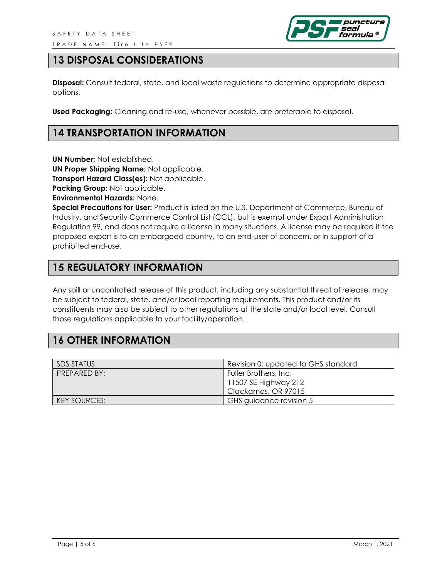

## **13 DISPOSAL CONSIDERATIONS**

**Disposal:** Consult federal, state, and local waste regulations to determine appropriate disposal options.

**Used Packaging:** Cleaning and re-use, whenever possible, are preferable to disposal.

#### **14 TRANSPORTATION INFORMATION**

**UN Number:** Not established.

**UN Proper Shipping Name:** Not applicable.

**Transport Hazard Class(es):** Not applicable.

**Packing Group:** Not applicable.

**Environmental Hazards:** None.

**Special Precautions for User:** Product is listed on the U.S. Department of Commerce, Bureau of Industry, and Security Commerce Control List (CCL), but is exempt under Export Administration Regulation 99, and does not require a license in many situations. A license may be required if the proposed export is to an embargoed country, to an end-user of concern, or in support of a prohibited end-use.

#### **15 REGULATORY INFORMATION**

Any spill or uncontrolled release of this product, including any substantial threat of release, may be subject to federal, state, and/or local reporting requirements. This product and/or its constituents may also be subject to other regulations at the state and/or local level. Consult those regulations applicable to your facility/operation.

### **16 OTHER INFORMATION**

| SDS STATUS:         | Revision 0; updated to GHS standard |
|---------------------|-------------------------------------|
| PREPARED BY:        | Fuller Brothers, Inc.               |
|                     | 11507 SE Highway 212                |
|                     | Clackamas, OR 97015                 |
| <b>KEY SOURCES:</b> | GHS guidance revision 5             |